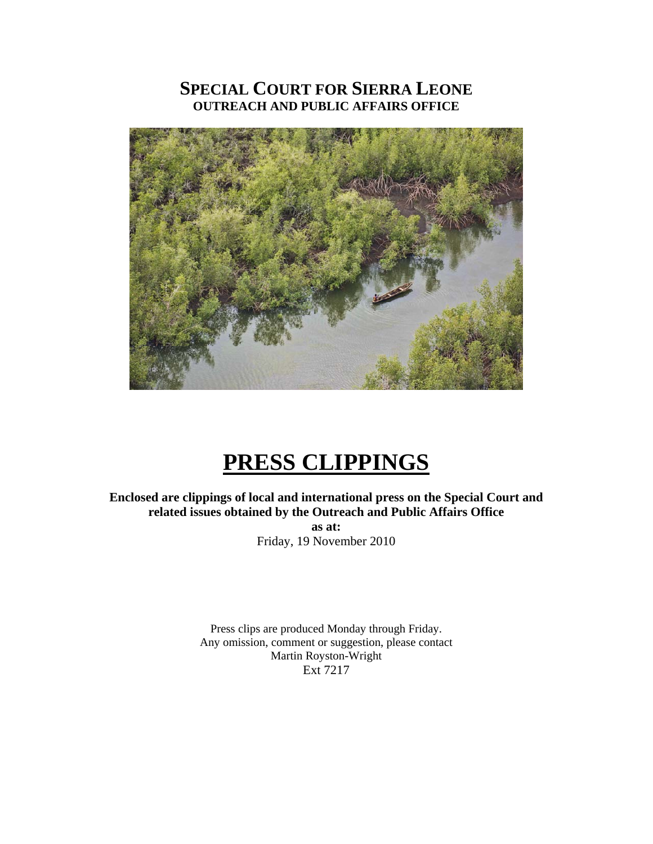### **SPECIAL COURT FOR SIERRA LEONE OUTREACH AND PUBLIC AFFAIRS OFFICE**



## **PRESS CLIPPINGS**

**Enclosed are clippings of local and international press on the Special Court and related issues obtained by the Outreach and Public Affairs Office as at:**  Friday, 19 November 2010

> Press clips are produced Monday through Friday. Any omission, comment or suggestion, please contact Martin Royston-Wright Ext 7217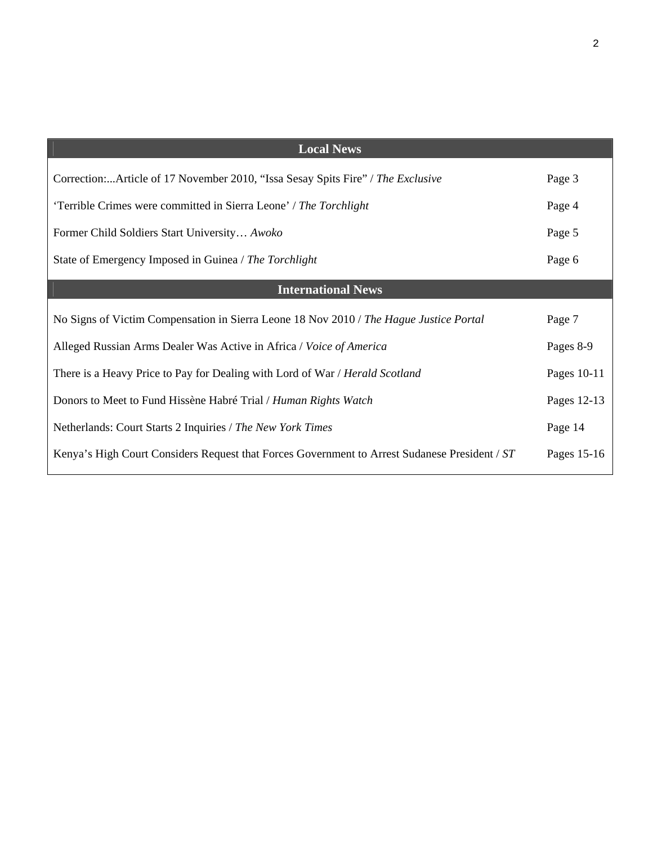| <b>Local News</b>                                                                             |             |
|-----------------------------------------------------------------------------------------------|-------------|
| Correction:Article of 17 November 2010, "Issa Sesay Spits Fire" / The Exclusive               | Page 3      |
| 'Terrible Crimes were committed in Sierra Leone' / The Torchlight                             | Page 4      |
| Former Child Soldiers Start University Awoko                                                  | Page 5      |
| State of Emergency Imposed in Guinea / The Torchlight                                         | Page 6      |
| <b>International News</b>                                                                     |             |
| No Signs of Victim Compensation in Sierra Leone 18 Nov 2010 / The Hague Justice Portal        | Page 7      |
| Alleged Russian Arms Dealer Was Active in Africa / Voice of America                           | Pages 8-9   |
| There is a Heavy Price to Pay for Dealing with Lord of War / Herald Scotland                  | Pages 10-11 |
| Donors to Meet to Fund Hissène Habré Trial / Human Rights Watch                               | Pages 12-13 |
| Netherlands: Court Starts 2 Inquiries / The New York Times                                    | Page 14     |
| Kenya's High Court Considers Request that Forces Government to Arrest Sudanese President / ST | Pages 15-16 |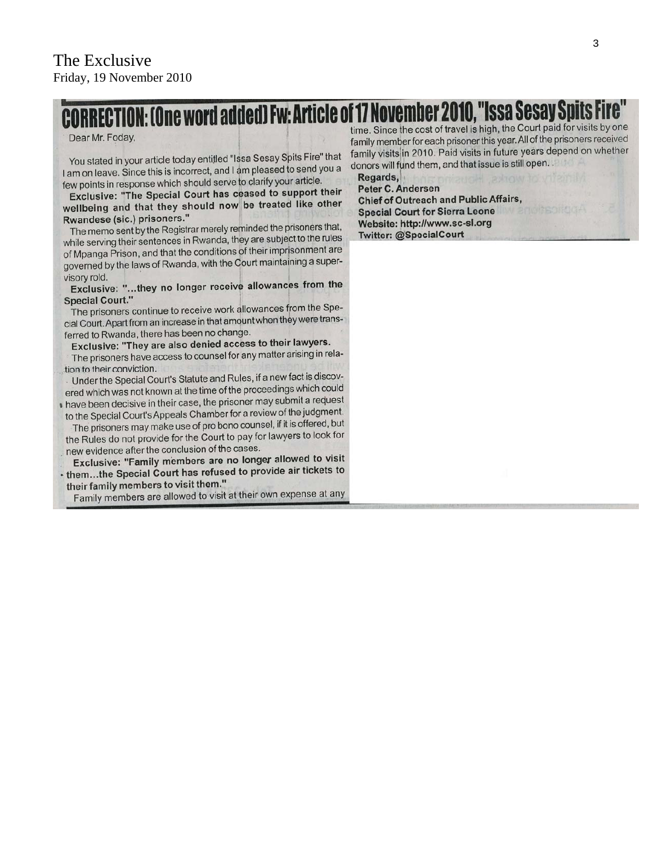# ION: [One word added] Fw: Article of 17 November 2010, "Issa Sesay Spits F

#### Dear Mr. Foday,

You stated in your article today entitled "Issa Sesay Spits Fire" that I am on leave. Since this is incorrect, and I am pleased to send you a few points in response which should serve to clarify your article.

Exclusive: "The Special Court has ceased to support their wellbeing and that they should now be treated like other Rwandese (sic.) prisoners."

The memo sent by the Registrar merely reminded the prisoners that, while serving their sentences in Rwanda, they are subject to the rules of Mpanga Prison, and that the conditions of their imprisonment are governed by the laws of Rwanda, with the Court maintaining a supervisory rold.

Exclusive: "...they no longer receive allowances from the **Special Court."** 

The prisoners continue to receive work allowances from the Special Court. Apart from an increase in that amount when they were transferred to Rwanda, there has been no change.

Exclusive: "They are also denied access to their lawyers.

The prisoners have access to counsel for any matter arising in relation to their conviction.

Under the Special Court's Statute and Rules, if a new fact is discovered which was not known at the time of the proceedings which could

I have been decisive in their case, the prisoner may submit a request to the Special Court's Appeals Chamber for a review of the judgment.

The prisoners may make use of pro bono counsel, if it is offered, but the Rules do not provide for the Court to pay for lawyers to look for new evidence after the conclusion of the cases.

Exclusive: "Family members are no longer allowed to visit - them...the Special Court has refused to provide air tickets to

their family members to visit them."

Family members are allowed to visit at their own expense at any

time. Since the cost of travel is high, the Court paid for visits by one family member for each prisoner this year. All of the prisoners received family visits in 2010. Paid visits in future years depend on whether donors will fund them, and that issue is still open.

Regards, Peter C. Andersen **Chief of Outreach and Public Affairs, Special Court for Sierra Leone** Website: http://www.sc-sl.org Twitter: @SpecialCourt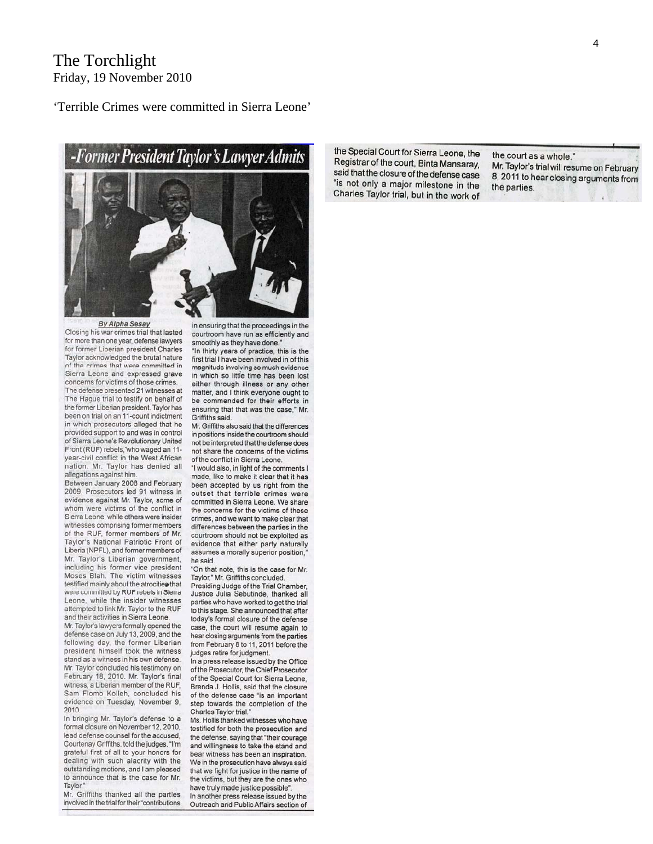#### The Torchlight Friday, 19 November 2010

'Terrible Crimes were committed in Sierra Leone'



By Alpha Sesay

Closing his war crimes trial that lasted for more than one year, defense lawyers for former Liberian president Charles Taylor acknowledged the brutal nature of the crimes that were committed in Sierra Leone and expressed grave concerns for victims of those crimes. The defense presented 21 witnesses at The Haque trial to testify on behalf of the former Liberian president. Taylor has been on trial on an 11-count indictment in which prosecutors alleged that he provided support to and was in control of Sierra Leone's Revolutionary United Front (RUF) rebels, who waged an 11year-civil conflict in the West African nation. Mr. Taylor has denied all allegations against him.

Between January 2008 and February 2009, Prosecutors led 91 witness in evidence against Mr. Taylor, some of whom were victims of the conflict in Sierra Leone, while others were insider witnesses comprising former members of the RUF, former members of Mr. Taylor's National Patriotic Front of Liberia (NPFL), and former members of Mr. Taylor's Liberian government, including his former vice president Moses Blah. The victim witnesses testified mainly about the atrocities that were committed by RUF rebels in Sierra Leone, while the insider witnesses attempted to link Mr. Taylor to the RUF and their activities in Sierra Leone.

Mr. Taylor's lawyers formally opened the defense case on July 13, 2009, and the following day, the former Liberian president himself took the witness stand as a witness in his own defense. Mr. Taylor concluded his testimony on February 18, 2010. Mr. Taylor's final witness, a Liberian member of the RUF. Sam Flomo Kolleh, concluded his evidence on Tuesday, November 9, 2010.

In bringing Mr. Taylor's defense to a formal closure on November 12, 2010. lead defense counsel for the accused. Courtenay Griffiths, told the judges, "I'm grateful first of all to your honors for dealing with such alacrity with the outstanding motions, and I am pleased to announce that is the case for Mr. Taylor

Mr. Griffiths thanked all the parties involved in the trial for their "contributions

in ensuring that the proceedings in the courtroom have run as efficiently and smoothly as they have done.

"In thirty years of practice, this is the first trial I have been involved in of this magnitude involving so much evidence in which so little time has been lost either through illness or any other matter, and I think everyone ought to be commended for their efforts in ensuring that that was the case." Mr. Griffiths said.

Mr. Griffiths also said that the differences in positions inside the courtroom should not be interpreted that the defense does not share the concerns of the victims of the conflict in Sierra Leone.

"I would also, in light of the comments I made, like to make it clear that it has been accepted by us right from the outset that terrible crimes were committed in Sierra Leone. We share the concerns for the victims of these crimes, and we want to make clear that differences between the parties in the courtroom should not be exploited as evidence that either party naturally assumes a morally superior position, he said.

"On that note, this is the case for Mr. Taylor," Mr. Griffiths concluded.

Presiding Judge of the Trial Chamber. Justice Julia Sebutinde, thanked all parties who have worked to get the trial to this stage. She announced that after today's formal closure of the defense case, the court will resume again to hear closing arguments from the parties from February 8 to 11, 2011 before the judges retire for judgment.

In a press release issued by the Office of the Prosecutor, the Chief Prosecutor of the Special Court for Sierra Leone, Brenda J. Hollis, said that the closure of the defense case "is an important step towards the completion of the Charles Taylor trial."

Ms. Hollis thanked witnesses who have testified for both the prosecution and the defense, saying that "their courage and willingness to take the stand and bear witness has been an inspiration. We in the prosecution have always said that we fight for justice in the name of the victims, but they are the ones who have truly made justice possible".

In another press release issued by the Outreach and Public Affairs section of the Special Court for Sierra Leone, the Registrar of the court, Binta Mansaray, said that the closure of the defense case "is not only a major milestone in the Charles Taylor trial, but in the work of

the court as a whole." Mr. Taylor's trial will resume on February 8, 2011 to hear closing arguments from the parties.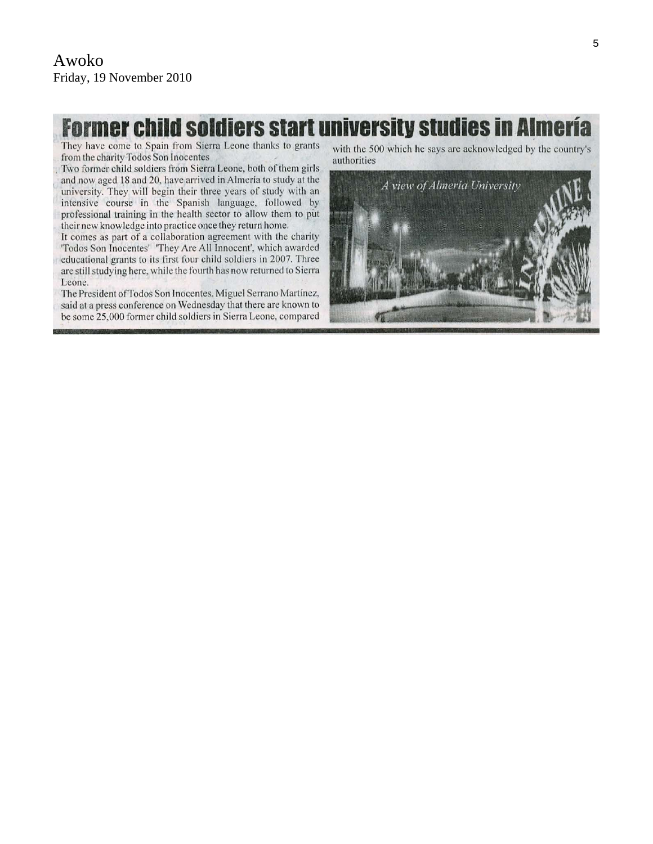## **Former child soldiers start university studies in Almería**

They have come to Spain from Sierra Leone thanks to grants from the charity Todos Son Inocentes

Two former child soldiers from Sierra Leone, both of them girls and now aged 18 and 20, have arrived in Almería to study at the university. They will begin their three years of study with an intensive course in the Spanish language, followed by professional training in the health sector to allow them to put their new knowledge into practice once they return home.

It comes as part of a collaboration agreement with the charity 'Todos Son Inocentes' 'They Are All Innocent', which awarded educational grants to its first four child soldiers in 2007. Three are still studying here, while the fourth has now returned to Sierra Leone.

The President of Todos Son Inocentes, Miguel Serrano Martínez, said at a press conference on Wednesday that there are known to be some 25,000 former child soldiers in Sierra Leone, compared with the 500 which he says are acknowledged by the country's authorities

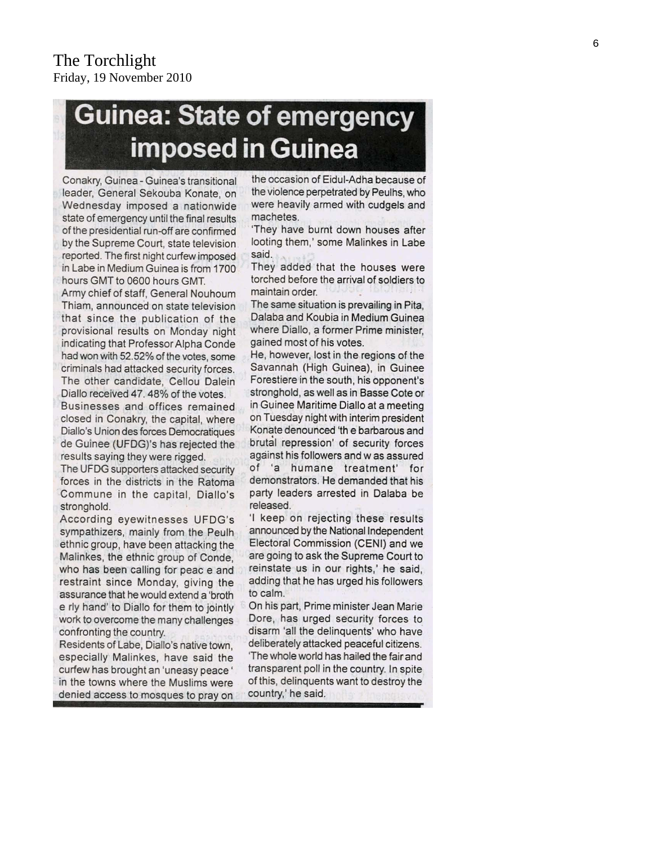# **Guinea: State of emergency** imposed in Guinea

Conakry, Guinea - Guinea's transitional leader, General Sekouba Konate, on Wednesday imposed a nationwide state of emergency until the final results of the presidential run-off are confirmed by the Supreme Court, state television reported. The first night curfew imposed in Labe in Medium Guinea is from 1700 hours GMT to 0600 hours GMT.

Army chief of staff, General Nouhoum Thiam, announced on state television that since the publication of the provisional results on Monday night indicating that Professor Alpha Conde had won with 52.52% of the votes, some criminals had attacked security forces. The other candidate, Cellou Dalein Diallo received 47.48% of the votes.

Businesses and offices remained closed in Conakry, the capital, where Diallo's Union des forces Democratiques de Guinee (UFDG)'s has rejected the results saying they were rigged.

The UFDG supporters attacked security forces in the districts in the Ratoma Commune in the capital, Diallo's stronghold.

According eyewitnesses UFDG's sympathizers, mainly from the Peulh ethnic group, have been attacking the Malinkes, the ethnic group of Conde, who has been calling for peac e and restraint since Monday, giving the assurance that he would extend a 'broth e rly hand' to Diallo for them to jointly work to overcome the many challenges confronting the country.

Residents of Labe, Diallo's native town, especially Malinkes, have said the curfew has brought an 'uneasy peace' in the towns where the Muslims were denied access to mosques to pray on

the occasion of Eidul-Adha because of the violence perpetrated by Peulhs, who were heavily armed with cudgels and machetes.

'They have burnt down houses after looting them,' some Malinkes in Labe said.

They added that the houses were torched before the arrival of soldiers to maintain order.

The same situation is prevailing in Pita, Dalaba and Koubia in Medium Guinea where Diallo, a former Prime minister, gained most of his votes.

He, however, lost in the regions of the Savannah (High Guinea), in Guinee Forestiere in the south, his opponent's stronghold, as well as in Basse Cote or in Guinee Maritime Diallo at a meeting on Tuesday night with interim president Konate denounced 'th e barbarous and brutal repression' of security forces against his followers and w as assured of 'a humane treatment' for demonstrators. He demanded that his party leaders arrested in Dalaba be released.

'I keep on rejecting these results announced by the National Independent Electoral Commission (CENI) and we are going to ask the Supreme Court to reinstate us in our rights,' he said, adding that he has urged his followers to calm.

On his part, Prime minister Jean Marie Dore, has urged security forces to disarm 'all the delinquents' who have deliberately attacked peaceful citizens. 'The whole world has hailed the fair and transparent poll in the country. In spite of this, delinguents want to destroy the country,' he said.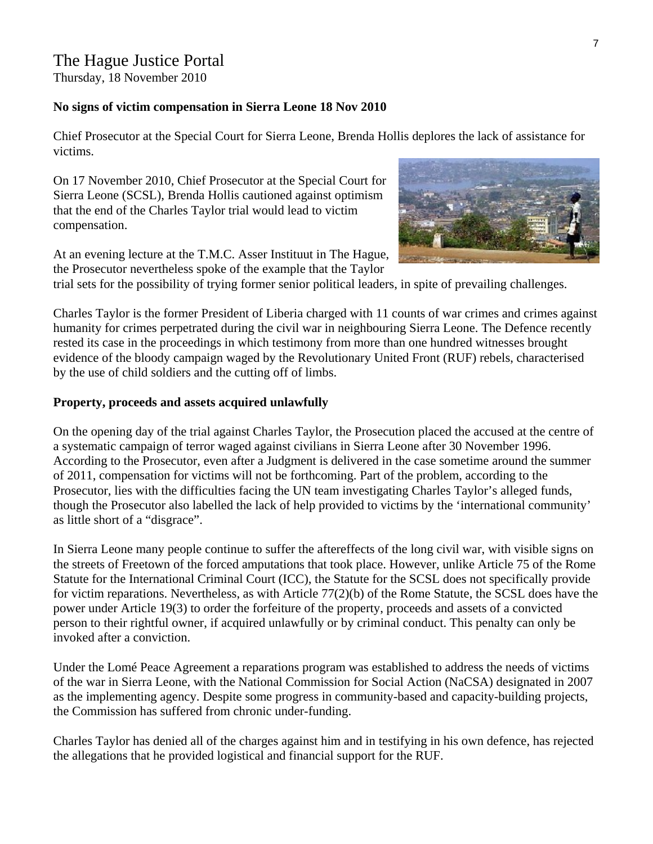Thursday, 18 November 2010

#### **No signs of victim compensation in Sierra Leone 18 Nov 2010**

Chief Prosecutor at the Special Court for Sierra Leone, Brenda Hollis deplores the lack of assistance for victims.

On 17 November 2010, Chief Prosecutor at the [Special Court for](http://www.haguejusticeportal.net/eCache/DEF/6413.c2V0TGFuZz1FTiZMPUVO.html)  [Sierra Leone \(SCSL\)](http://www.haguejusticeportal.net/eCache/DEF/6413.c2V0TGFuZz1FTiZMPUVO.html), Brenda Hollis cautioned against optimism that the end of the [Charles Taylor](http://www.haguejusticeportal.net/eCache/DEF/6/414.html) trial would lead to victim compensation.

At an evening lecture at the T.M.C. Asser Instituut in The Hague, the Prosecutor nevertheless spoke of the example that the Taylor

trial sets for the possibility of trying former senior political leaders, in spite of prevailing challenges.

Charles Taylor is the former President of Liberia charged with 11 counts of war crimes and crimes against humanity for crimes perpetrated during the civil war in neighbouring Sierra Leone. The Defence recently rested its case in the proceedings in which testimony from more than one hundred witnesses brought evidence of the bloody campaign waged by the [Revolutionary United Front \(RUF\)](http://www.haguejusticeportal.net/eCache/DEF/8/987.html) rebels, characterised by the use of child soldiers and the cutting off of limbs.

#### **Property, proceeds and assets acquired unlawfully**

On the opening day of the trial against Charles Taylor, the Prosecution placed the accused at the centre of a systematic campaign of terror waged against civilians in Sierra Leone after 30 November 1996. According to the Prosecutor, even after a Judgment is delivered in the case sometime around the summer of 2011, compensation for victims will not be forthcoming. Part of the problem, according to the Prosecutor, lies with the difficulties facing the UN team investigating Charles Taylor's alleged funds, though the Prosecutor also labelled the lack of help provided to victims by the 'international community' as little short of a "disgrace".

In Sierra Leone many people continue to suffer the aftereffects of the long civil war, with visible signs on the streets of Freetown of the forced amputations that took place. However, unlike Article 75 of the [Rome](http://www.haguejusticeportal.net/Docs/Miscellaneous/Rome_Statute_01-07-2000.pdf)  [Statute](http://www.haguejusticeportal.net/Docs/Miscellaneous/Rome_Statute_01-07-2000.pdf) for the International Criminal Court (ICC), the [Statute for the SCSL](http://www.sc-sl.org/LinkClick.aspx?fileticket=uClnd1MJeEw%3d&tabid=176) does not specifically provide for victim reparations. Nevertheless, as with Article 77(2)(b) of the Rome Statute, the SCSL does have the power under Article 19(3) to order the forfeiture of the property, proceeds and assets of a convicted person to their rightful owner, if acquired unlawfully or by criminal conduct. This penalty can only be invoked after a conviction.

Under the Lomé Peace Agreement a reparations program was established to address the needs of victims of the war in Sierra Leone, with the [National Commission for Social Action](http://www.nacsa.gov.sl/index.html) (NaCSA) designated in 2007 as the implementing agency. Despite some progress in community-based and capacity-building projects, the Commission has suffered from chronic under-funding.

Charles Taylor has denied all of the charges against him and in testifying in his own defence, has rejected the allegations that he provided logistical and financial support for the RUF.

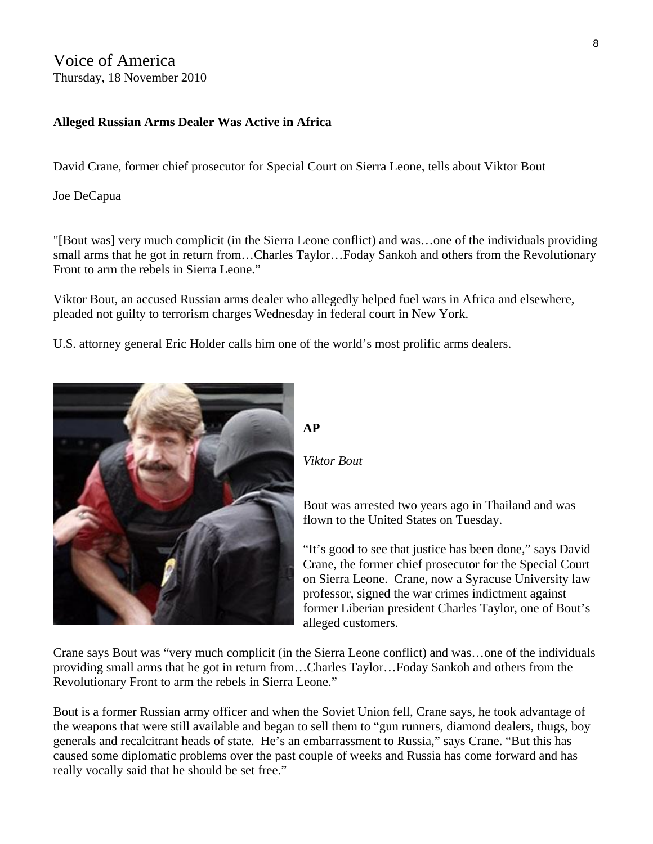Voice of America Thursday, 18 November 2010

#### **Alleged Russian Arms Dealer Was Active in Africa**

David Crane, former chief prosecutor for Special Court on Sierra Leone, tells about Viktor Bout

Joe DeCapua

"[Bout was] very much complicit (in the Sierra Leone conflict) and was…one of the individuals providing small arms that he got in return from…Charles Taylor…Foday Sankoh and others from the Revolutionary Front to arm the rebels in Sierra Leone."

Viktor Bout, an accused Russian arms dealer who allegedly helped fuel wars in Africa and elsewhere, pleaded not guilty to terrorism charges Wednesday in federal court in New York.

U.S. attorney general Eric Holder calls him one of the world's most prolific arms dealers.



#### **AP**

*Viktor Bout* 

Bout was arrested two years ago in Thailand and was flown to the United States on Tuesday.

"It's good to see that justice has been done," says David Crane, the former chief prosecutor for the Special Court on Sierra Leone. Crane, now a Syracuse University law professor, signed the war crimes indictment against former Liberian president Charles Taylor, one of Bout's alleged customers.

Crane says Bout was "very much complicit (in the Sierra Leone conflict) and was…one of the individuals providing small arms that he got in return from…Charles Taylor…Foday Sankoh and others from the Revolutionary Front to arm the rebels in Sierra Leone."

Bout is a former Russian army officer and when the Soviet Union fell, Crane says, he took advantage of the weapons that were still available and began to sell them to "gun runners, diamond dealers, thugs, boy generals and recalcitrant heads of state. He's an embarrassment to Russia," says Crane. "But this has caused some diplomatic problems over the past couple of weeks and Russia has come forward and has really vocally said that he should be set free."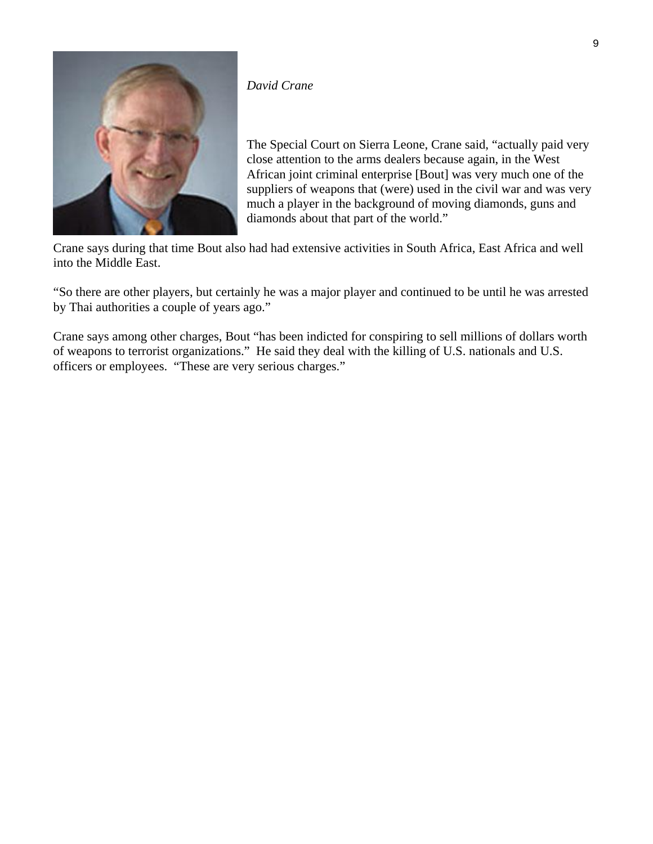

#### *David Crane*

The Special Court on Sierra Leone, Crane said, "actually paid very close attention to the arms dealers because again, in the West African joint criminal enterprise [Bout] was very much one of the suppliers of weapons that (were) used in the civil war and was very much a player in the background of moving diamonds, guns and diamonds about that part of the world."

Crane says during that time Bout also had had extensive activities in South Africa, East Africa and well into the Middle East.

"So there are other players, but certainly he was a major player and continued to be until he was arrested by Thai authorities a couple of years ago."

Crane says among other charges, Bout "has been indicted for conspiring to sell millions of dollars worth of weapons to terrorist organizations." He said they deal with the killing of U.S. nationals and U.S. officers or employees. "These are very serious charges."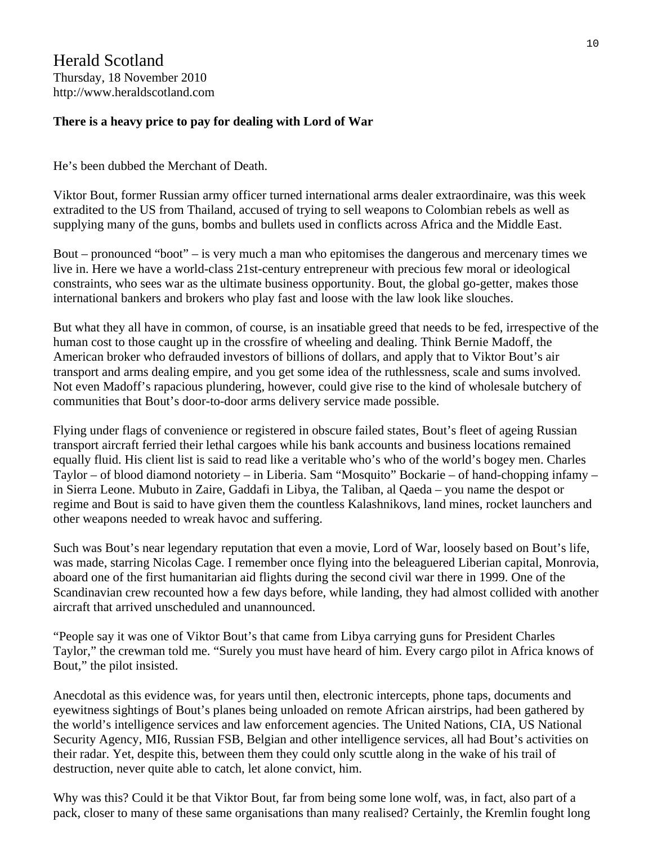#### **There is a heavy price to pay for dealing with Lord of War**

He's been dubbed the Merchant of Death.

Viktor Bout, former Russian army officer turned international arms dealer extraordinaire, was this week extradited to the US from Thailand, accused of trying to sell weapons to Colombian rebels as well as supplying many of the guns, bombs and bullets used in conflicts across Africa and the Middle East.

Bout – pronounced "boot" – is very much a man who epitomises the dangerous and mercenary times we live in. Here we have a world-class 21st-century entrepreneur with precious few moral or ideological constraints, who sees war as the ultimate business opportunity. Bout, the global go-getter, makes those international bankers and brokers who play fast and loose with the law look like slouches.

But what they all have in common, of course, is an insatiable greed that needs to be fed, irrespective of the human cost to those caught up in the crossfire of wheeling and dealing. Think Bernie Madoff, the American broker who defrauded investors of billions of dollars, and apply that to Viktor Bout's air transport and arms dealing empire, and you get some idea of the ruthlessness, scale and sums involved. Not even Madoff's rapacious plundering, however, could give rise to the kind of wholesale butchery of communities that Bout's door-to-door arms delivery service made possible.

Flying under flags of convenience or registered in obscure failed states, Bout's fleet of ageing Russian transport aircraft ferried their lethal cargoes while his bank accounts and business locations remained equally fluid. His client list is said to read like a veritable who's who of the world's bogey men. Charles Taylor – of blood diamond notoriety – in Liberia. Sam "Mosquito" Bockarie – of hand-chopping infamy – in Sierra Leone. Mubuto in Zaire, Gaddafi in Libya, the Taliban, al Qaeda – you name the despot or regime and Bout is said to have given them the countless Kalashnikovs, land mines, rocket launchers and other weapons needed to wreak havoc and suffering.

Such was Bout's near legendary reputation that even a movie, Lord of War, loosely based on Bout's life, was made, starring Nicolas Cage. I remember once flying into the beleaguered Liberian capital, Monrovia, aboard one of the first humanitarian aid flights during the second civil war there in 1999. One of the Scandinavian crew recounted how a few days before, while landing, they had almost collided with another aircraft that arrived unscheduled and unannounced.

"People say it was one of Viktor Bout's that came from Libya carrying guns for President Charles Taylor," the crewman told me. "Surely you must have heard of him. Every cargo pilot in Africa knows of Bout," the pilot insisted.

Anecdotal as this evidence was, for years until then, electronic intercepts, phone taps, documents and eyewitness sightings of Bout's planes being unloaded on remote African airstrips, had been gathered by the world's intelligence services and law enforcement agencies. The United Nations, CIA, US National Security Agency, MI6, Russian FSB, Belgian and other intelligence services, all had Bout's activities on their radar. Yet, despite this, between them they could only scuttle along in the wake of his trail of destruction, never quite able to catch, let alone convict, him.

Why was this? Could it be that Viktor Bout, far from being some lone wolf, was, in fact, also part of a pack, closer to many of these same organisations than many realised? Certainly, the Kremlin fought long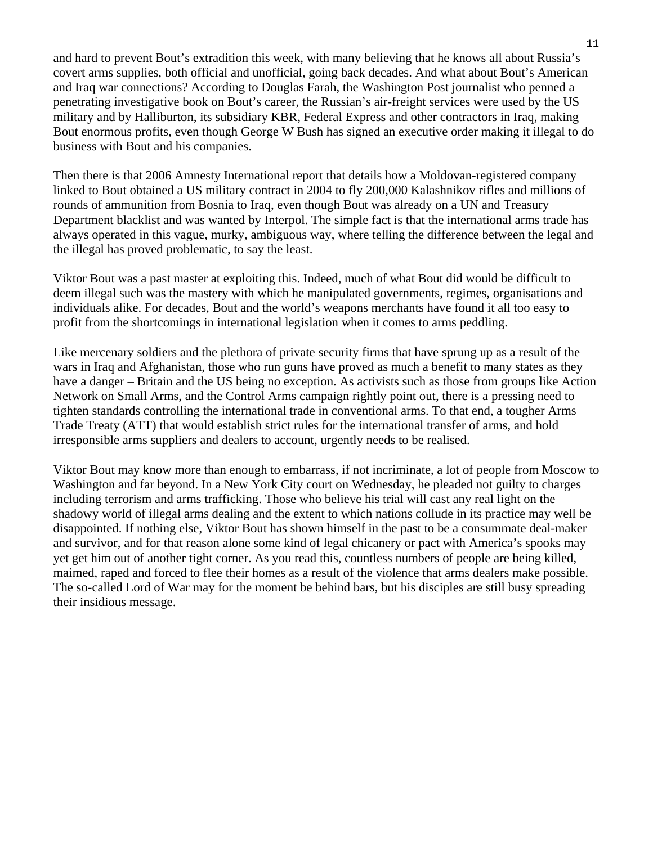and hard to prevent Bout's extradition this week, with many believing that he knows all about Russia's covert arms supplies, both official and unofficial, going back decades. And what about Bout's American and Iraq war connections? According to Douglas Farah, the Washington Post journalist who penned a penetrating investigative book on Bout's career, the Russian's air-freight services were used by the US military and by Halliburton, its subsidiary KBR, Federal Express and other contractors in Iraq, making Bout enormous profits, even though George W Bush has signed an executive order making it illegal to do business with Bout and his companies.

Then there is that 2006 Amnesty International report that details how a Moldovan-registered company linked to Bout obtained a US military contract in 2004 to fly 200,000 Kalashnikov rifles and millions of rounds of ammunition from Bosnia to Iraq, even though Bout was already on a UN and Treasury Department blacklist and was wanted by Interpol. The simple fact is that the international arms trade has always operated in this vague, murky, ambiguous way, where telling the difference between the legal and the illegal has proved problematic, to say the least.

Viktor Bout was a past master at exploiting this. Indeed, much of what Bout did would be difficult to deem illegal such was the mastery with which he manipulated governments, regimes, organisations and individuals alike. For decades, Bout and the world's weapons merchants have found it all too easy to profit from the shortcomings in international legislation when it comes to arms peddling.

Like mercenary soldiers and the plethora of private security firms that have sprung up as a result of the wars in Iraq and Afghanistan, those who run guns have proved as much a benefit to many states as they have a danger – Britain and the US being no exception. As activists such as those from groups like Action Network on Small Arms, and the Control Arms campaign rightly point out, there is a pressing need to tighten standards controlling the international trade in conventional arms. To that end, a tougher Arms Trade Treaty (ATT) that would establish strict rules for the international transfer of arms, and hold irresponsible arms suppliers and dealers to account, urgently needs to be realised.

Viktor Bout may know more than enough to embarrass, if not incriminate, a lot of people from Moscow to Washington and far beyond. In a New York City court on Wednesday, he pleaded not guilty to charges including terrorism and arms trafficking. Those who believe his trial will cast any real light on the shadowy world of illegal arms dealing and the extent to which nations collude in its practice may well be disappointed. If nothing else, Viktor Bout has shown himself in the past to be a consummate deal-maker and survivor, and for that reason alone some kind of legal chicanery or pact with America's spooks may yet get him out of another tight corner. As you read this, countless numbers of people are being killed, maimed, raped and forced to flee their homes as a result of the violence that arms dealers make possible. The so-called Lord of War may for the moment be behind bars, but his disciples are still busy spreading their insidious message.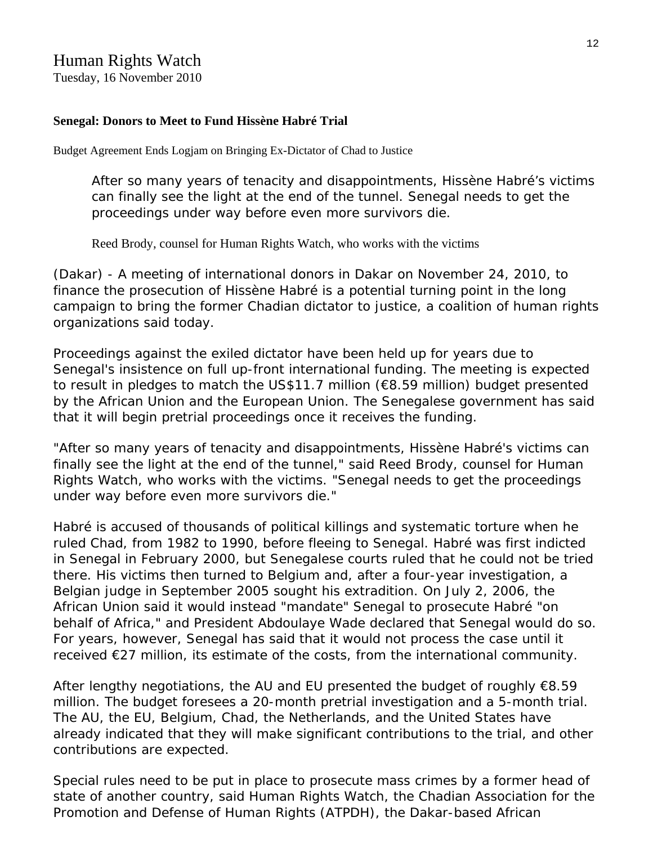### Human Rights Watch

Tuesday, 16 November 2010

#### **[Senegal: Donors to Meet to Fund Hissène Habré Trial](http://www.hrw.org/en/news/2010/11/16/senegal-donors-meet-fund-hiss-ne-habr-trial)**

Budget Agreement Ends Logjam on Bringing Ex-Dictator of Chad to Justice

After so many years of tenacity and disappointments, Hissène Habré's victims can finally see the light at the end of the tunnel. Senegal needs to get the proceedings under way before even more survivors die.

Reed Brody, counsel for Human Rights Watch, who works with the victims

(Dakar) - A meeting of international donors in Dakar on November 24, 2010, to finance the prosecution of Hissène Habré is a potential turning point in the long campaign to bring the former Chadian dictator to justice, a coalition of human rights organizations said today.

Proceedings against the exiled dictator have been held up for years due to Senegal's insistence on full up-front international funding. The meeting is expected to result in pledges to match the US\$11.7 million (€8.59 million) budget presented by the African Union and the European Union. The Senegalese government has said that it will begin pretrial proceedings once it receives the funding.

"After so many years of tenacity and disappointments, Hissène Habré's victims can finally see the light at the end of the tunnel," said Reed Brody, counsel for Human Rights Watch, who works with the victims. "Senegal needs to get the proceedings under way before even more survivors die."

Habré is accused of thousands of political killings and systematic torture when he ruled Chad, from 1982 to 1990, before fleeing to Senegal. Habré was first indicted in Senegal in February 2000, but Senegalese courts ruled that he could not be tried there. His victims then turned to Belgium and, after a four-year investigation, a Belgian judge in September 2005 sought his extradition. On July 2, 2006, the African Union said it would instead "mandate" Senegal to prosecute Habré "on behalf of Africa," and President Abdoulaye Wade declared that Senegal would do so. For years, however, Senegal has said that it would not process the case until it received €27 million, its estimate of the costs, from the international community.

After lengthy negotiations, the AU and EU presented the budget of roughly  $€8.59$ million. The budget foresees a 20-month pretrial investigation and a 5-month trial. The AU, the EU, Belgium, Chad, the Netherlands, and the United States have already indicated that they will make significant contributions to the trial, and other contributions are expected.

Special rules need to be put in place to prosecute mass crimes by a former head of state of another country, said Human Rights Watch, the Chadian Association for the Promotion and Defense of Human Rights (ATPDH), the Dakar-based African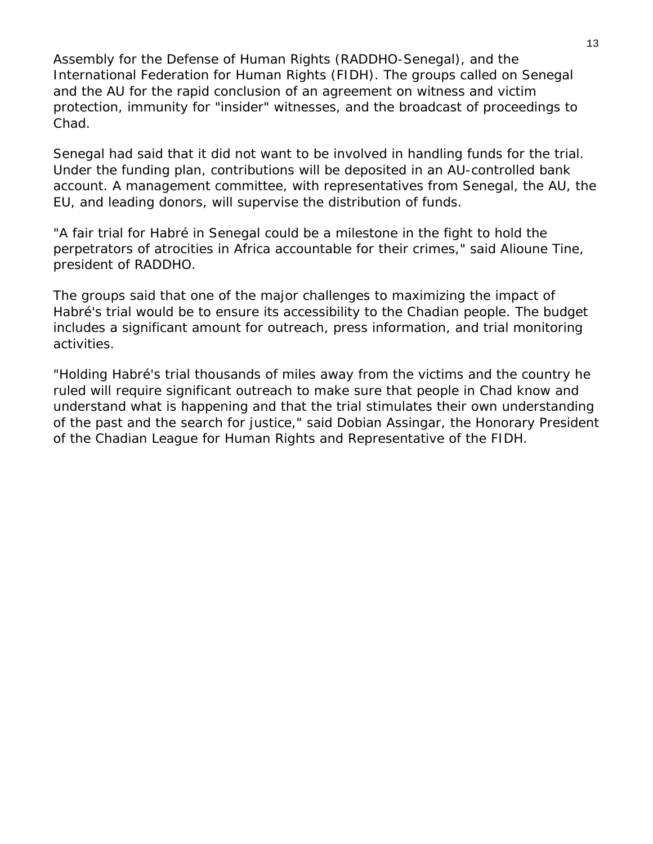Assembly for the Defense of Human Rights (RADDHO-Senegal), and the International Federation for Human Rights (FIDH). The groups called on Senegal and the AU for the rapid conclusion of an agreement on witness and victim protection, immunity for "insider" witnesses, and the broadcast of proceedings to Chad.

Senegal had said that it did not want to be involved in handling funds for the trial. Under the funding plan, contributions will be deposited in an AU-controlled bank account. A management committee, with representatives from Senegal, the AU, the EU, and leading donors, will supervise the distribution of funds.

"A fair trial for Habré in Senegal could be a milestone in the fight to hold the perpetrators of atrocities in Africa accountable for their crimes," said Alioune Tine, president of RADDHO.

The groups said that one of the major challenges to maximizing the impact of Habré's trial would be to ensure its accessibility to the Chadian people. The budget includes a significant amount for outreach, press information, and trial monitoring activities.

"Holding Habré's trial thousands of miles away from the victims and the country he ruled will require significant outreach to make sure that people in Chad know and understand what is happening and that the trial stimulates their own understanding of the past and the search for justice," said Dobian Assingar, the Honorary President of the Chadian League for Human Rights and Representative of the FIDH.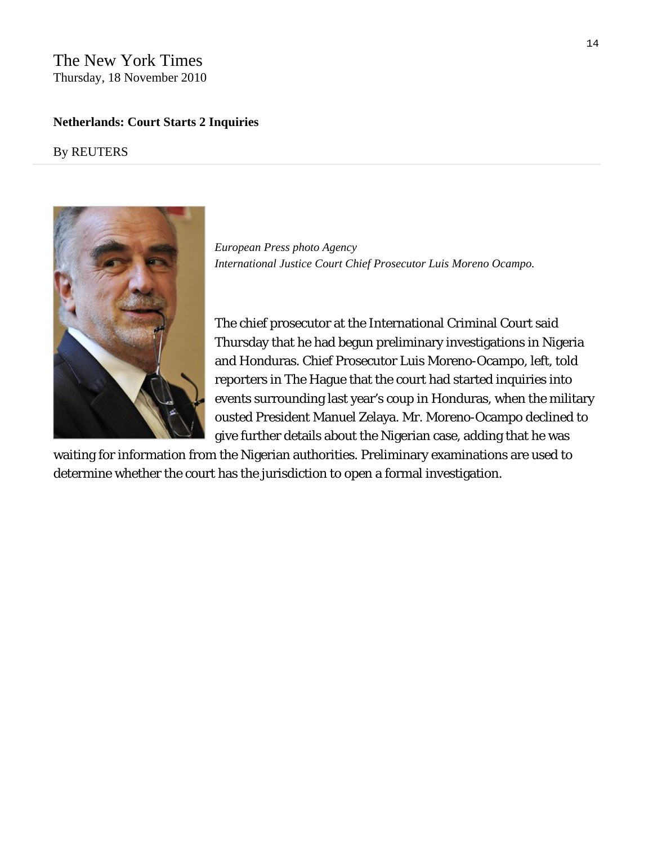#### The New York Times Thursday, 18 November 2010

#### **Netherlands: Court Starts 2 Inquiries**

#### By REUTERS



*European Press photo Agency International Justice Court Chief Prosecutor Luis Moreno Ocampo.* 

The chief prosecutor at the [International Criminal Court](http://topics.nytimes.com/top/reference/timestopics/organizations/i/international_criminal_court/index.html?inline=nyt-org) said Thursday that he had begun preliminary investigations in Nigeria and Honduras. Chief Prosecutor Luis Moreno-Ocampo, left, told reporters in The Hague that the court had started inquiries into events surrounding last year's coup in Honduras, when the military ousted President [Manuel Zelaya.](http://topics.nytimes.com/top/reference/timestopics/people/z/jose_manuel_zelaya/index.html?inline=nyt-per) Mr. Moreno-Ocampo declined to give further details about the Nigerian case, adding that he was

waiting for information from the Nigerian authorities. Preliminary examinations are used to determine whether the court has the jurisdiction to open a formal investigation.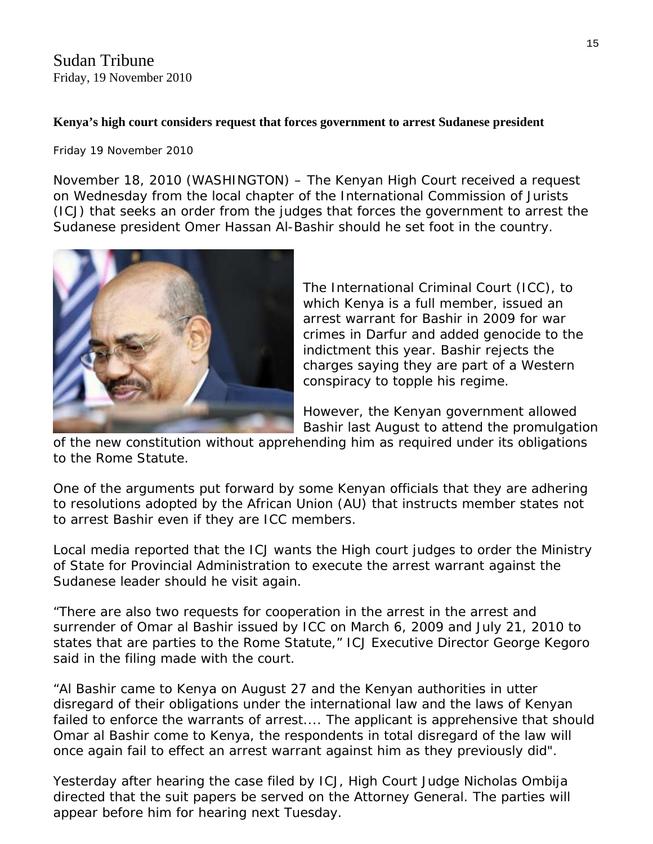Sudan Tribune Friday, 19 November 2010

#### **Kenya's high court considers request that forces government to arrest Sudanese president**

Friday 19 November 2010

Sudanese president Omer Hassan Al-B ashir should he set foot in the country. November 18, 2010 (WASHINGTON) – The Kenyan High Court received a request on Wednesday from the local chapter of the International Commission of Jurists (ICJ) that seeks an order from the judges that forces the government to arrest the



The International Criminal Court (ICC), to crimes in Darfur and added genocide to the charges saying they are part of a Western which Kenya is a full member, issued an arrest warrant for Bashir in 2009 for war indictment this year. Bashir rejects the conspiracy to topple his regime.

However, the Kenyan government allowed Bashir last August to attend the promulgation

of the new constitution without apprehending him as required under its obligations to the Rome Statute.

One of the arguments put forward by some Kenyan officials that they are adhering to resolutions adopted by the African Union (AU) that instructs member states not to arrest Bashir even if they are ICC members.

Local media reported that the ICJ wants the High court judges to order the Ministry of State for Provincial Administration to execute the arrest warrant against the Sudanese leader should he visit again.

"There are also two requests for cooperation in the arrest in the arrest and surrender of Omar al Bashir issued by ICC on March 6, 2009 and July 21, 2010 to states that are parties to the Rome Statute," ICJ Executive Director George Kegoro said in the filing made with the court.

"Al Bashir came to Kenya on August 27 and the Kenyan authorities in utter disregard of their obligations under the international law and the laws of Kenyan failed to enforce the warrants of arrest.... The applicant is apprehensive that should Omar al Bashir come to Kenya, the respondents in total disregard of the law will once again fail to effect an arrest warrant against him as they previously did".

Yesterday after hearing the case filed by ICJ, High Court Judge Nicholas Ombija directed that the suit papers be served on the Attorney General. The parties will appear before him for hearing next Tuesday.